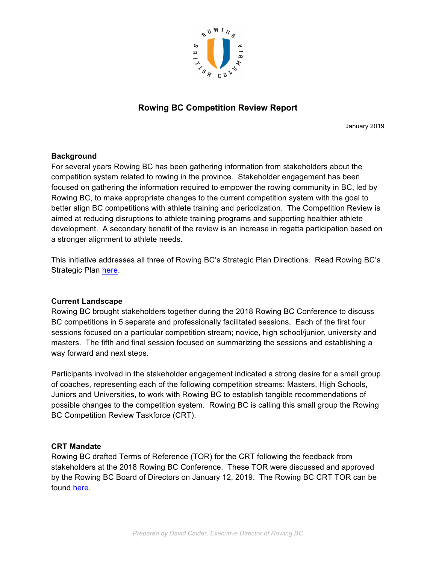

# **Rowing BC Competition Review Report**

January 2019

#### **Background**

For several years Rowing BC has been gathering information from stakeholders about the competition system related to rowing in the province. Stakeholder engagement has been focused on gathering the information required to empower the rowing community in BC, led by Rowing BC, to make appropriate changes to the current competition system with the goal to better align BC competitions with athlete training and periodization. The Competition Review is aimed at reducing disruptions to athlete training programs and supporting healthier athlete development. A secondary benefit of the review is an increase in regatta participation based on a stronger alignment to athlete needs.

This initiative addresses all three of Rowing BC's Strategic Plan Directions. Read Rowing BC's Strategic Plan here.

#### **Current Landscape**

Rowing BC brought stakeholders together during the 2018 Rowing BC Conference to discuss BC competitions in 5 separate and professionally facilitated sessions. Each of the first four sessions focused on a particular competition stream; novice, high school/junior, university and masters. The fifth and final session focused on summarizing the sessions and establishing a way forward and next steps.

Participants involved in the stakeholder engagement indicated a strong desire for a small group of coaches, representing each of the following competition streams: Masters, High Schools, Juniors and Universities, to work with Rowing BC to establish tangible recommendations of possible changes to the competition system. Rowing BC is calling this small group the Rowing BC Competition Review Taskforce (CRT).

#### **CRT Mandate**

Rowing BC drafted Terms of Reference (TOR) for the CRT following the feedback from stakeholders at the 2018 Rowing BC Conference. These TOR were discussed and approved by the Rowing BC Board of Directors on January 12, 2019. The Rowing BC CRT TOR can be found here.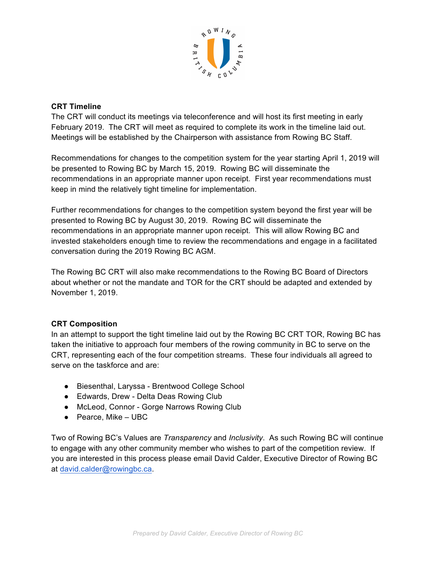

### **CRT Timeline**

The CRT will conduct its meetings via teleconference and will host its first meeting in early February 2019. The CRT will meet as required to complete its work in the timeline laid out. Meetings will be established by the Chairperson with assistance from Rowing BC Staff.

Recommendations for changes to the competition system for the year starting April 1, 2019 will be presented to Rowing BC by March 15, 2019. Rowing BC will disseminate the recommendations in an appropriate manner upon receipt. First year recommendations must keep in mind the relatively tight timeline for implementation.

Further recommendations for changes to the competition system beyond the first year will be presented to Rowing BC by August 30, 2019. Rowing BC will disseminate the recommendations in an appropriate manner upon receipt. This will allow Rowing BC and invested stakeholders enough time to review the recommendations and engage in a facilitated conversation during the 2019 Rowing BC AGM.

The Rowing BC CRT will also make recommendations to the Rowing BC Board of Directors about whether or not the mandate and TOR for the CRT should be adapted and extended by November 1, 2019.

#### **CRT Composition**

In an attempt to support the tight timeline laid out by the Rowing BC CRT TOR, Rowing BC has taken the initiative to approach four members of the rowing community in BC to serve on the CRT, representing each of the four competition streams. These four individuals all agreed to serve on the taskforce and are:

- Biesenthal, Laryssa Brentwood College School
- Edwards, Drew Delta Deas Rowing Club
- McLeod, Connor Gorge Narrows Rowing Club
- Pearce, Mike UBC

Two of Rowing BC's Values are *Transparency* and *Inclusivity*. As such Rowing BC will continue to engage with any other community member who wishes to part of the competition review. If you are interested in this process please email David Calder, Executive Director of Rowing BC at david.calder@rowingbc.ca.